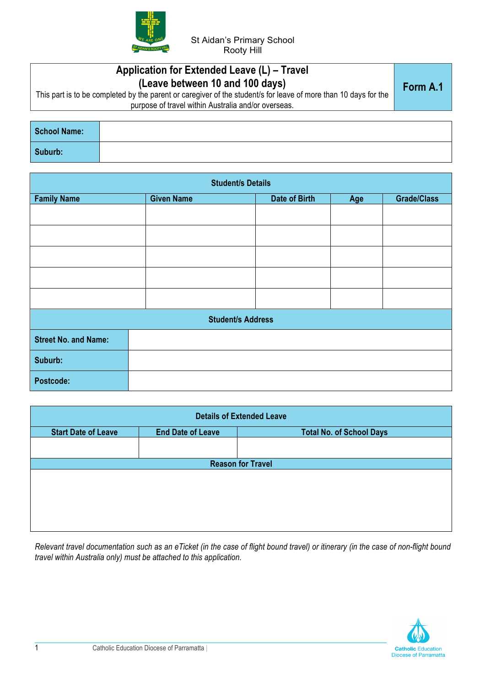

| Application for Extended Leave (L) – Travel<br>(Leave between 10 and 100 days)<br>This part is to be completed by the parent or caregiver of the student/s for leave of more than 10 days for the<br>purpose of travel within Australia and/or overseas. | Form A.1 |
|----------------------------------------------------------------------------------------------------------------------------------------------------------------------------------------------------------------------------------------------------------|----------|
|                                                                                                                                                                                                                                                          |          |

| <b>School Name:</b> |  |
|---------------------|--|
| Suburb:             |  |

| <b>Student/s Details</b>    |                   |               |     |                    |
|-----------------------------|-------------------|---------------|-----|--------------------|
| <b>Family Name</b>          | <b>Given Name</b> | Date of Birth | Age | <b>Grade/Class</b> |
|                             |                   |               |     |                    |
|                             |                   |               |     |                    |
|                             |                   |               |     |                    |
|                             |                   |               |     |                    |
|                             |                   |               |     |                    |
| <b>Student/s Address</b>    |                   |               |     |                    |
| <b>Street No. and Name:</b> |                   |               |     |                    |
| Suburb:                     |                   |               |     |                    |
| Postcode:                   |                   |               |     |                    |

| <b>Details of Extended Leave</b> |                          |                                 |  |
|----------------------------------|--------------------------|---------------------------------|--|
| <b>Start Date of Leave</b>       | <b>End Date of Leave</b> | <b>Total No. of School Days</b> |  |
|                                  |                          |                                 |  |
|                                  |                          | <b>Reason for Travel</b>        |  |
|                                  |                          |                                 |  |
|                                  |                          |                                 |  |
|                                  |                          |                                 |  |
|                                  |                          |                                 |  |
|                                  |                          |                                 |  |

*Relevant travel documentation such as an eTicket (in the case of flight bound travel) or itinerary (in the case of non-flight bound travel within Australia only) must be attached to this application.*